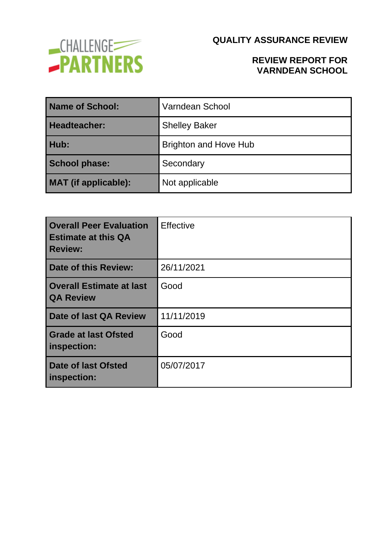

### **REVIEW REPORT FOR VARNDEAN SCHOOL**

| Name of School:      | Varndean School              |  |
|----------------------|------------------------------|--|
| Headteacher:         | <b>Shelley Baker</b>         |  |
| Hub:                 | <b>Brighton and Hove Hub</b> |  |
| <b>School phase:</b> | Secondary                    |  |
| MAT (if applicable): | Not applicable               |  |

| <b>Overall Peer Evaluation</b><br><b>Estimate at this QA</b><br><b>Review:</b> | <b>Effective</b> |
|--------------------------------------------------------------------------------|------------------|
| Date of this Review:                                                           | 26/11/2021       |
| Overall Estimate at last<br><b>QA Review</b>                                   | Good             |
| Date of last QA Review                                                         | 11/11/2019       |
| <b>Grade at last Ofsted</b><br>inspection:                                     | Good             |
| <b>Date of last Ofsted</b><br>inspection:                                      | 05/07/2017       |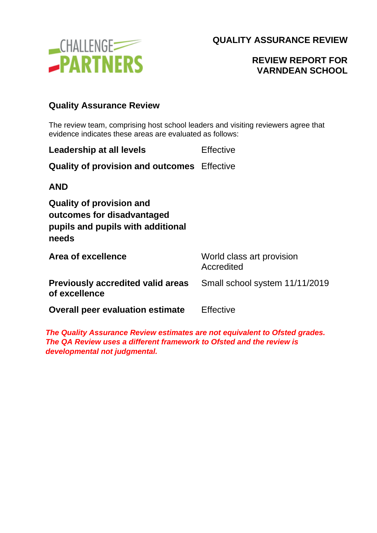

# **REVIEW REPORT FOR VARNDEAN SCHOOL**

#### **Quality Assurance Review**

The review team, comprising host school leaders and visiting reviewers agree that evidence indicates these areas are evaluated as follows:

| Leadership at all levels                                                                                    | Effective                               |
|-------------------------------------------------------------------------------------------------------------|-----------------------------------------|
| <b>Quality of provision and outcomes</b> Effective                                                          |                                         |
| <b>AND</b>                                                                                                  |                                         |
| <b>Quality of provision and</b><br>outcomes for disadvantaged<br>pupils and pupils with additional<br>needs |                                         |
| Area of excellence                                                                                          | World class art provision<br>Accredited |
| <b>Previously accredited valid areas</b><br>of excellence                                                   | Small school system 11/11/2019          |
| <b>Overall peer evaluation estimate</b>                                                                     | Effective                               |

*The Quality Assurance Review estimates are not equivalent to Ofsted grades. The QA Review uses a different framework to Ofsted and the review is developmental not judgmental.*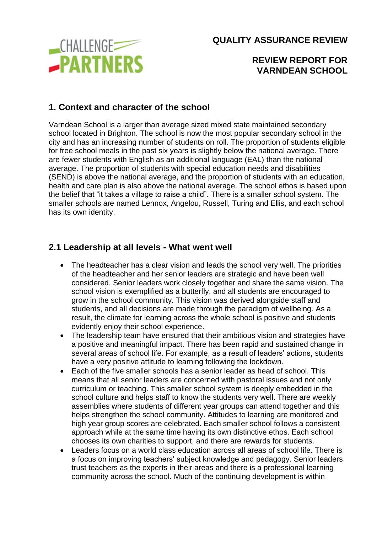

#### **REVIEW REPORT FOR VARNDEAN SCHOOL**

## **1. Context and character of the school**

Varndean School is a larger than average sized mixed state maintained secondary school located in Brighton. The school is now the most popular secondary school in the city and has an increasing number of students on roll. The proportion of students eligible for free school meals in the past six years is slightly below the national average. There are fewer students with English as an additional language (EAL) than the national average. The proportion of students with special education needs and disabilities (SEND) is above the national average, and the proportion of students with an education, health and care plan is also above the national average. The school ethos is based upon the belief that "it takes a village to raise a child". There is a smaller school system. The smaller schools are named Lennox, Angelou, Russell, Turing and Ellis, and each school has its own identity.

### **2.1 Leadership at all levels - What went well**

- The headteacher has a clear vision and leads the school very well. The priorities of the headteacher and her senior leaders are strategic and have been well considered. Senior leaders work closely together and share the same vision. The school vision is exemplified as a butterfly, and all students are encouraged to grow in the school community. This vision was derived alongside staff and students, and all decisions are made through the paradigm of wellbeing. As a result, the climate for learning across the whole school is positive and students evidently enjoy their school experience.
- The leadership team have ensured that their ambitious vision and strategies have a positive and meaningful impact. There has been rapid and sustained change in several areas of school life. For example, as a result of leaders' actions, students have a very positive attitude to learning following the lockdown.
- Each of the five smaller schools has a senior leader as head of school. This means that all senior leaders are concerned with pastoral issues and not only curriculum or teaching. This smaller school system is deeply embedded in the school culture and helps staff to know the students very well. There are weekly assemblies where students of different year groups can attend together and this helps strengthen the school community. Attitudes to learning are monitored and high year group scores are celebrated. Each smaller school follows a consistent approach while at the same time having its own distinctive ethos. Each school chooses its own charities to support, and there are rewards for students.
- Leaders focus on a world class education across all areas of school life. There is a focus on improving teachers' subject knowledge and pedagogy. Senior leaders trust teachers as the experts in their areas and there is a professional learning community across the school. Much of the continuing development is within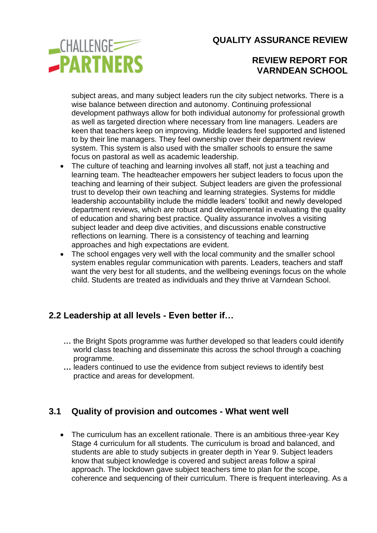

### **REVIEW REPORT FOR VARNDEAN SCHOOL**

subject areas, and many subject leaders run the city subject networks. There is a wise balance between direction and autonomy. Continuing professional development pathways allow for both individual autonomy for professional growth as well as targeted direction where necessary from line managers. Leaders are keen that teachers keep on improving. Middle leaders feel supported and listened to by their line managers. They feel ownership over their department review system. This system is also used with the smaller schools to ensure the same focus on pastoral as well as academic leadership.

- The culture of teaching and learning involves all staff, not just a teaching and learning team. The headteacher empowers her subject leaders to focus upon the teaching and learning of their subject. Subject leaders are given the professional trust to develop their own teaching and learning strategies. Systems for middle leadership accountability include the middle leaders' toolkit and newly developed department reviews, which are robust and developmental in evaluating the quality of education and sharing best practice. Quality assurance involves a visiting subject leader and deep dive activities, and discussions enable constructive reflections on learning. There is a consistency of teaching and learning approaches and high expectations are evident.
- The school engages very well with the local community and the smaller school system enables regular communication with parents. Leaders, teachers and staff want the very best for all students, and the wellbeing evenings focus on the whole child. Students are treated as individuals and they thrive at Varndean School.

## **2.2 Leadership at all levels - Even better if…**

- **...** the Bright Spots programme was further developed so that leaders could identify **...** world class teaching and disseminate this across the school through a coaching **...** programme.
- **...** leaders continued to use the evidence from subject reviews to identify best **...** practice and areas for development.

### **3.1 Quality of provision and outcomes - What went well**

• The curriculum has an excellent rationale. There is an ambitious three-year Key Stage 4 curriculum for all students. The curriculum is broad and balanced, and students are able to study subjects in greater depth in Year 9. Subject leaders know that subject knowledge is covered and subject areas follow a spiral approach. The lockdown gave subject teachers time to plan for the scope, coherence and sequencing of their curriculum. There is frequent interleaving. As a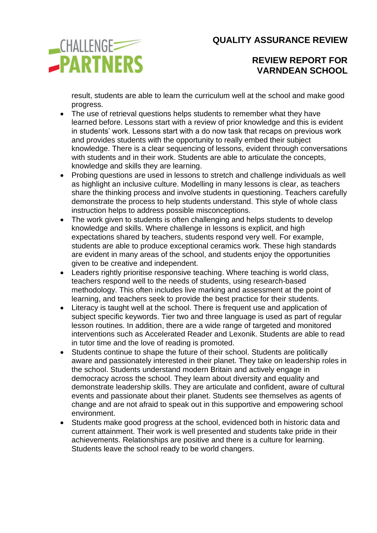

### **REVIEW REPORT FOR VARNDEAN SCHOOL**

result, students are able to learn the curriculum well at the school and make good progress.

- The use of retrieval questions helps students to remember what they have learned before. Lessons start with a review of prior knowledge and this is evident in students' work. Lessons start with a do now task that recaps on previous work and provides students with the opportunity to really embed their subject knowledge. There is a clear sequencing of lessons, evident through conversations with students and in their work. Students are able to articulate the concepts, knowledge and skills they are learning.
- Probing questions are used in lessons to stretch and challenge individuals as well as highlight an inclusive culture. Modelling in many lessons is clear, as teachers share the thinking process and involve students in questioning. Teachers carefully demonstrate the process to help students understand. This style of whole class instruction helps to address possible misconceptions.
- The work given to students is often challenging and helps students to develop knowledge and skills. Where challenge in lessons is explicit, and high expectations shared by teachers, students respond very well. For example, students are able to produce exceptional ceramics work. These high standards are evident in many areas of the school, and students enjoy the opportunities given to be creative and independent.
- Leaders rightly prioritise responsive teaching. Where teaching is world class, teachers respond well to the needs of students, using research-based methodology. This often includes live marking and assessment at the point of learning, and teachers seek to provide the best practice for their students.
- Literacy is taught well at the school. There is frequent use and application of subject specific keywords. Tier two and three language is used as part of regular lesson routines. In addition, there are a wide range of targeted and monitored interventions such as Accelerated Reader and Lexonik. Students are able to read in tutor time and the love of reading is promoted.
- Students continue to shape the future of their school. Students are politically aware and passionately interested in their planet. They take on leadership roles in the school. Students understand modern Britain and actively engage in democracy across the school. They learn about diversity and equality and demonstrate leadership skills. They are articulate and confident, aware of cultural events and passionate about their planet. Students see themselves as agents of change and are not afraid to speak out in this supportive and empowering school environment.
- Students make good progress at the school, evidenced both in historic data and current attainment. Their work is well presented and students take pride in their achievements. Relationships are positive and there is a culture for learning. Students leave the school ready to be world changers.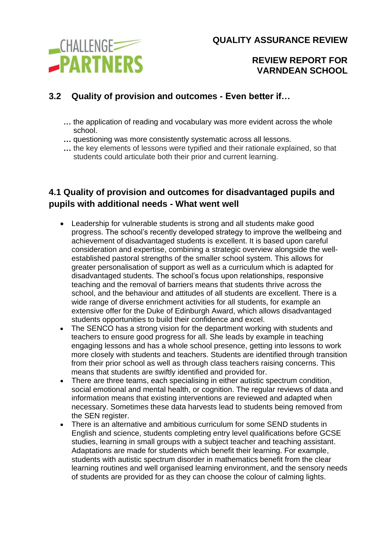

**REVIEW REPORT FOR VARNDEAN SCHOOL**

# **3.2 Quality of provision and outcomes - Even better if…**

- **...** the application of reading and vocabulary was more evident across the whole **...** school.
- **...** questioning was more consistently systematic across all lessons.
- **...** the key elements of lessons were typified and their rationale explained, so that **...** students could articulate both their prior and current learning.

# **4.1 Quality of provision and outcomes for disadvantaged pupils and pupils with additional needs - What went well**

- Leadership for vulnerable students is strong and all students make good progress. The school's recently developed strategy to improve the wellbeing and achievement of disadvantaged students is excellent. It is based upon careful consideration and expertise, combining a strategic overview alongside the wellestablished pastoral strengths of the smaller school system. This allows for greater personalisation of support as well as a curriculum which is adapted for disadvantaged students. The school's focus upon relationships, responsive teaching and the removal of barriers means that students thrive across the school, and the behaviour and attitudes of all students are excellent. There is a wide range of diverse enrichment activities for all students, for example an extensive offer for the Duke of Edinburgh Award, which allows disadvantaged students opportunities to build their confidence and excel.
- The SENCO has a strong vision for the department working with students and teachers to ensure good progress for all. She leads by example in teaching engaging lessons and has a whole school presence, getting into lessons to work more closely with students and teachers. Students are identified through transition from their prior school as well as through class teachers raising concerns. This means that students are swiftly identified and provided for.
- There are three teams, each specialising in either autistic spectrum condition, social emotional and mental health, or cognition. The regular reviews of data and information means that existing interventions are reviewed and adapted when necessary. Sometimes these data harvests lead to students being removed from the SEN register.
- There is an alternative and ambitious curriculum for some SEND students in English and science, students completing entry level qualifications before GCSE studies, learning in small groups with a subject teacher and teaching assistant. Adaptations are made for students which benefit their learning. For example, students with autistic spectrum disorder in mathematics benefit from the clear learning routines and well organised learning environment, and the sensory needs of students are provided for as they can choose the colour of calming lights.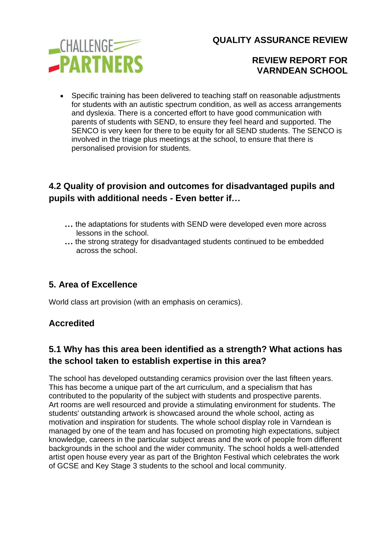

### **REVIEW REPORT FOR VARNDEAN SCHOOL**

• Specific training has been delivered to teaching staff on reasonable adjustments for students with an autistic spectrum condition, as well as access arrangements and dyslexia. There is a concerted effort to have good communication with parents of students with SEND, to ensure they feel heard and supported. The SENCO is very keen for there to be equity for all SEND students. The SENCO is involved in the triage plus meetings at the school, to ensure that there is personalised provision for students.

# **4.2 Quality of provision and outcomes for disadvantaged pupils and pupils with additional needs - Even better if…**

- **...** the adaptations for students with SEND were developed even more across lessons in the school.
- **...** the strong strategy for disadvantaged students continued to be embedded across the school.

## **5. Area of Excellence**

World class art provision (with an emphasis on ceramics).

### **Accredited**

### **5.1 Why has this area been identified as a strength? What actions has the school taken to establish expertise in this area?**

The school has developed outstanding ceramics provision over the last fifteen years. This has become a unique part of the art curriculum, and a specialism that has contributed to the popularity of the subject with students and prospective parents. Art rooms are well resourced and provide a stimulating environment for students. The students' outstanding artwork is showcased around the whole school, acting as motivation and inspiration for students. The whole school display role in Varndean is managed by one of the team and has focused on promoting high expectations, subject knowledge, careers in the particular subject areas and the work of people from different backgrounds in the school and the wider community. The school holds a well-attended artist open house every year as part of the Brighton Festival which celebrates the work of GCSE and Key Stage 3 students to the school and local community.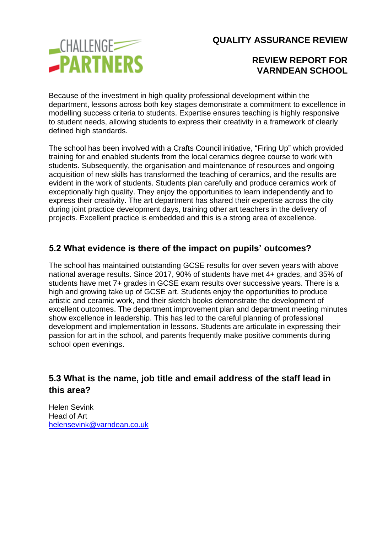

### **REVIEW REPORT FOR VARNDEAN SCHOOL**

Because of the investment in high quality professional development within the department, lessons across both key stages demonstrate a commitment to excellence in modelling success criteria to students. Expertise ensures teaching is highly responsive to student needs, allowing students to express their creativity in a framework of clearly defined high standards.

The school has been involved with a Crafts Council initiative, "Firing Up" which provided training for and enabled students from the local ceramics degree course to work with students. Subsequently, the organisation and maintenance of resources and ongoing acquisition of new skills has transformed the teaching of ceramics, and the results are evident in the work of students. Students plan carefully and produce ceramics work of exceptionally high quality. They enjoy the opportunities to learn independently and to express their creativity. The art department has shared their expertise across the city during joint practice development days, training other art teachers in the delivery of projects. Excellent practice is embedded and this is a strong area of excellence.

## **5.2 What evidence is there of the impact on pupils' outcomes?**

The school has maintained outstanding GCSE results for over seven years with above national average results. Since 2017, 90% of students have met 4+ grades, and 35% of students have met 7+ grades in GCSE exam results over successive years. There is a high and growing take up of GCSE art. Students enjoy the opportunities to produce artistic and ceramic work, and their sketch books demonstrate the development of excellent outcomes. The department improvement plan and department meeting minutes show excellence in leadership. This has led to the careful planning of professional development and implementation in lessons. Students are articulate in expressing their passion for art in the school, and parents frequently make positive comments during school open evenings.

## **5.3 What is the name, job title and email address of the staff lead in this area?**

Helen Sevink Head of Art [helensevink@varndean.co.uk](mailto:helensevink@varndean.co.uk)